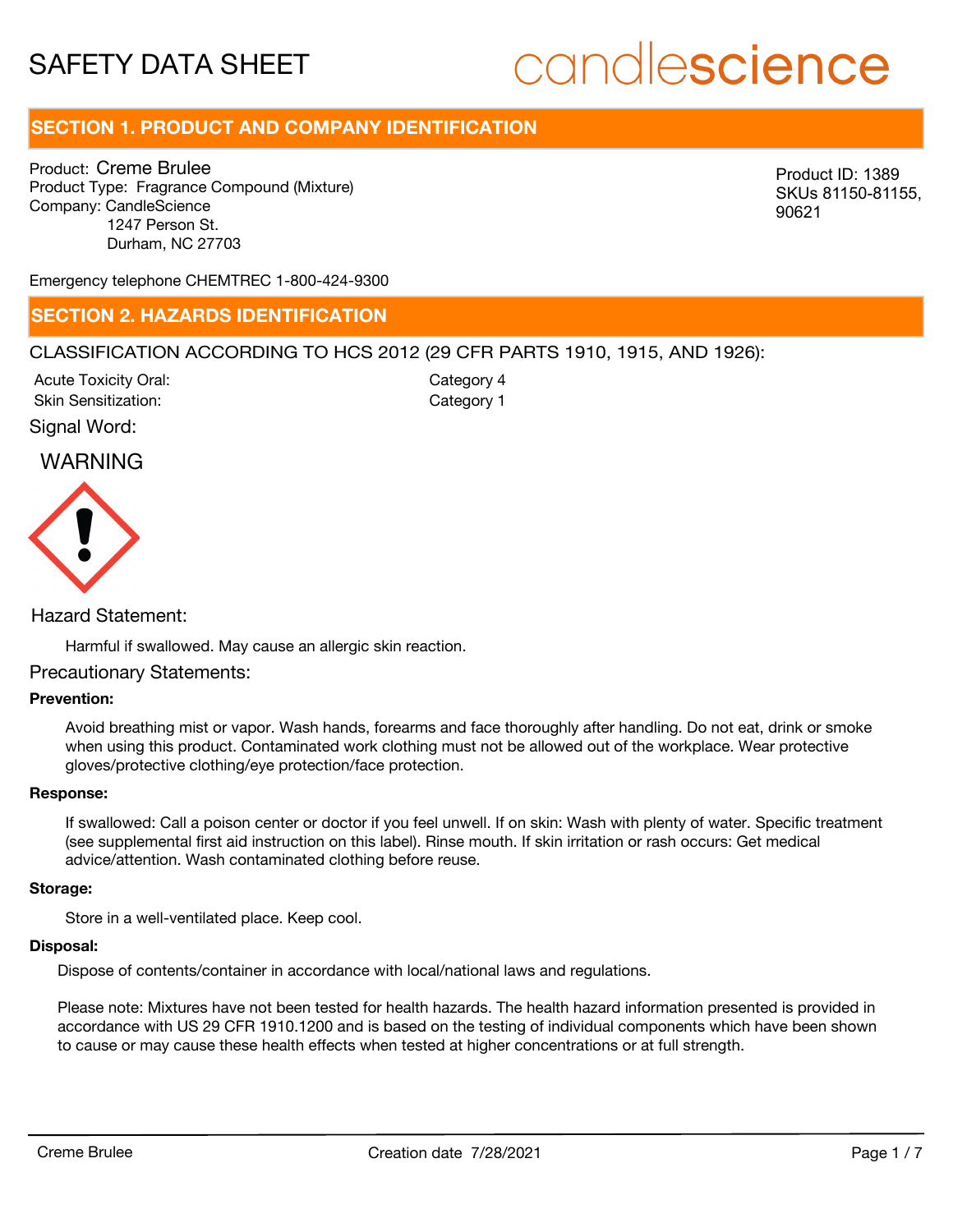# candlescience

# **SECTION 1. PRODUCT AND COMPANY IDENTIFICATION**

Product: Creme Brulee Product Type: Fragrance Compound (Mixture) Company: CandleScience 1247 Person St. Durham, NC 27703

Product ID: 1389 SKUs 81150-81155, 90621

Emergency telephone CHEMTREC 1-800-424-9300

### **SECTION 2. HAZARDS IDENTIFICATION**

#### CLASSIFICATION ACCORDING TO HCS 2012 (29 CFR PARTS 1910, 1915, AND 1926):

Acute Toxicity Oral: Skin Sensitization:

Category 4 Category 1

Signal Word:

### WARNING



#### Hazard Statement:

Harmful if swallowed. May cause an allergic skin reaction.

#### Precautionary Statements:

#### **Prevention:**

Avoid breathing mist or vapor. Wash hands, forearms and face thoroughly after handling. Do not eat, drink or smoke when using this product. Contaminated work clothing must not be allowed out of the workplace. Wear protective gloves/protective clothing/eye protection/face protection.

#### **Response:**

If swallowed: Call a poison center or doctor if you feel unwell. If on skin: Wash with plenty of water. Specific treatment (see supplemental first aid instruction on this label). Rinse mouth. If skin irritation or rash occurs: Get medical advice/attention. Wash contaminated clothing before reuse.

#### **Storage:**

Store in a well-ventilated place. Keep cool.

#### **Disposal:**

Dispose of contents/container in accordance with local/national laws and regulations.

Please note: Mixtures have not been tested for health hazards. The health hazard information presented is provided in accordance with US 29 CFR 1910.1200 and is based on the testing of individual components which have been shown to cause or may cause these health effects when tested at higher concentrations or at full strength.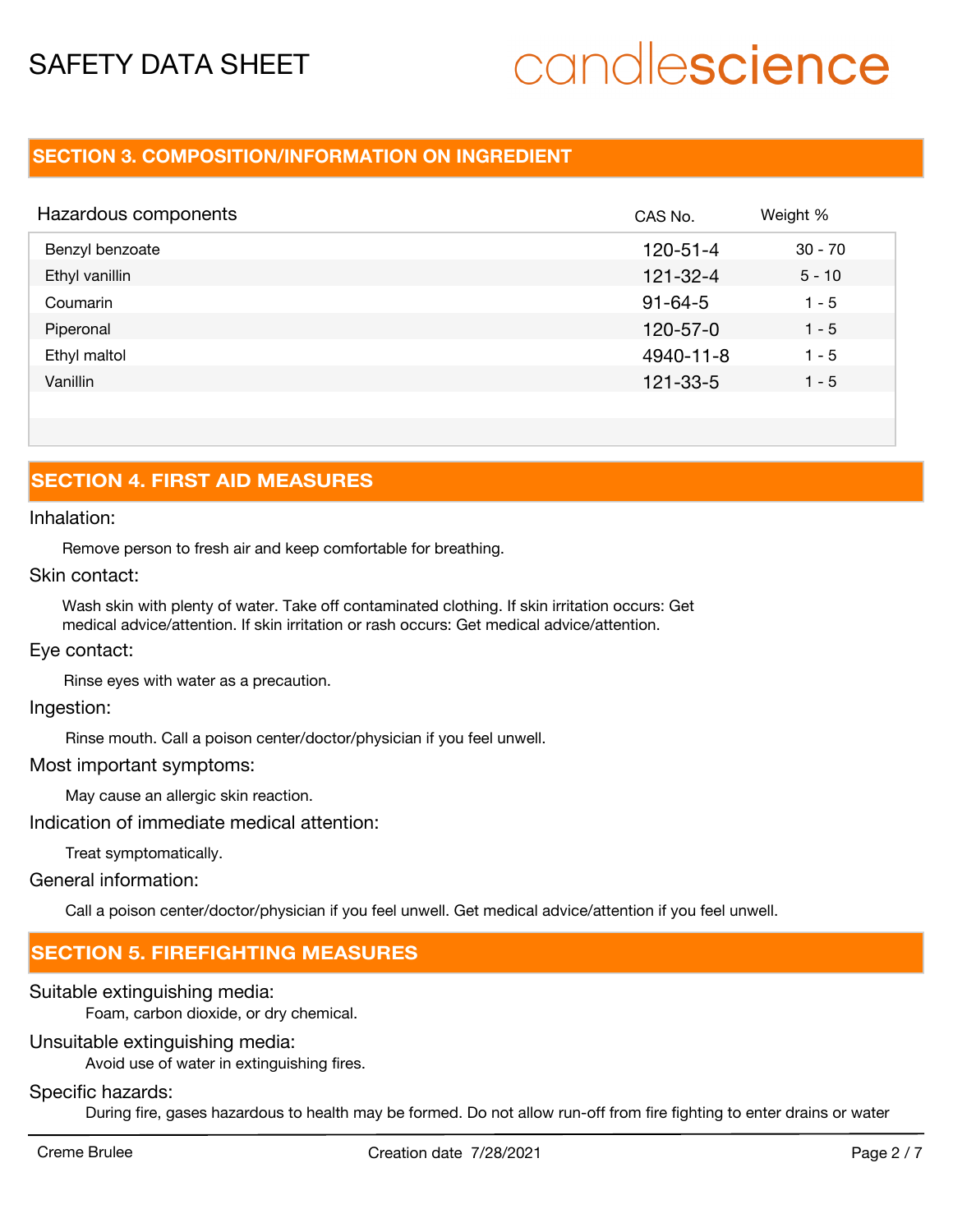# candlescience

### **SECTION 3. COMPOSITION/INFORMATION ON INGREDIENT**

| Hazardous components | CAS No.        | Weight %  |
|----------------------|----------------|-----------|
| Benzyl benzoate      | $120 - 51 - 4$ | $30 - 70$ |
| Ethyl vanillin       | $121 - 32 - 4$ | $5 - 10$  |
| Coumarin             | $91 - 64 - 5$  | $1 - 5$   |
| Piperonal            | $120 - 57 - 0$ | $1 - 5$   |
| Ethyl maltol         | 4940-11-8      | $1 - 5$   |
| Vanillin             | $121 - 33 - 5$ | $1 - 5$   |
|                      |                |           |

# **SECTION 4. FIRST AID MEASURES**

#### Inhalation:

Remove person to fresh air and keep comfortable for breathing.

#### Skin contact:

Wash skin with plenty of water. Take off contaminated clothing. If skin irritation occurs: Get medical advice/attention. If skin irritation or rash occurs: Get medical advice/attention.

#### Eye contact:

Rinse eyes with water as a precaution.

#### Ingestion:

Rinse mouth. Call a poison center/doctor/physician if you feel unwell.

#### Most important symptoms:

May cause an allergic skin reaction.

Indication of immediate medical attention:

Treat symptomatically.

General information:

Call a poison center/doctor/physician if you feel unwell. Get medical advice/attention if you feel unwell.

## **SECTION 5. FIREFIGHTING MEASURES**

#### Suitable extinguishing media:

Foam, carbon dioxide, or dry chemical.

#### Unsuitable extinguishing media:

Avoid use of water in extinguishing fires.

#### Specific hazards:

During fire, gases hazardous to health may be formed. Do not allow run-off from fire fighting to enter drains or water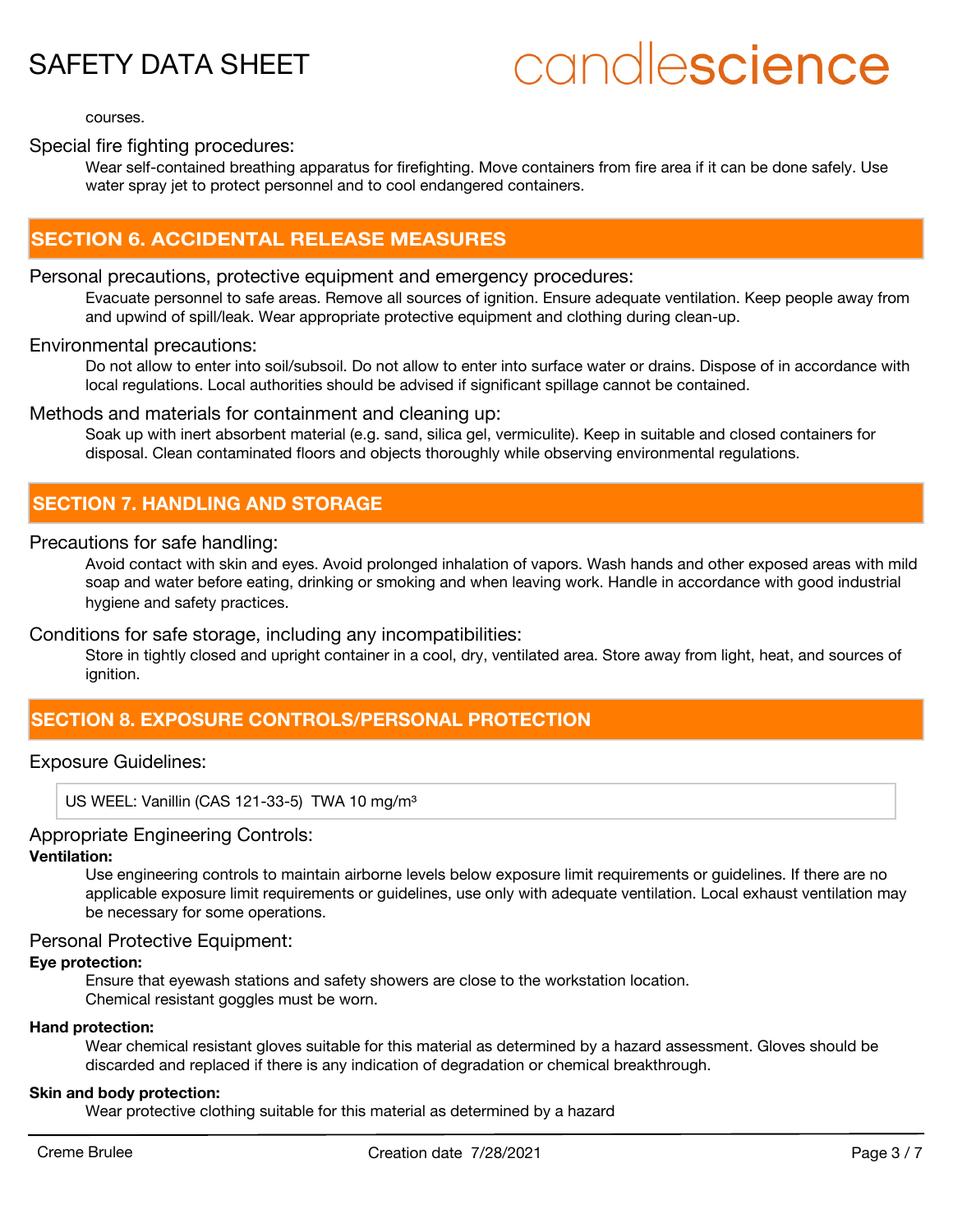# candlescience

courses.

### Special fire fighting procedures:

Wear self-contained breathing apparatus for firefighting. Move containers from fire area if it can be done safely. Use water spray jet to protect personnel and to cool endangered containers.

### **SECTION 6. ACCIDENTAL RELEASE MEASURES**

#### Personal precautions, protective equipment and emergency procedures:

Evacuate personnel to safe areas. Remove all sources of ignition. Ensure adequate ventilation. Keep people away from and upwind of spill/leak. Wear appropriate protective equipment and clothing during clean-up.

#### Environmental precautions:

Do not allow to enter into soil/subsoil. Do not allow to enter into surface water or drains. Dispose of in accordance with local regulations. Local authorities should be advised if significant spillage cannot be contained.

#### Methods and materials for containment and cleaning up:

Soak up with inert absorbent material (e.g. sand, silica gel, vermiculite). Keep in suitable and closed containers for disposal. Clean contaminated floors and objects thoroughly while observing environmental regulations.

## **SECTION 7. HANDLING AND STORAGE**

#### Precautions for safe handling:

Avoid contact with skin and eyes. Avoid prolonged inhalation of vapors. Wash hands and other exposed areas with mild soap and water before eating, drinking or smoking and when leaving work. Handle in accordance with good industrial hygiene and safety practices.

#### Conditions for safe storage, including any incompatibilities:

Store in tightly closed and upright container in a cool, dry, ventilated area. Store away from light, heat, and sources of ignition.

## **SECTION 8. EXPOSURE CONTROLS/PERSONAL PROTECTION**

#### Exposure Guidelines:

US WEEL: Vanillin (CAS 121-33-5) TWA 10 mg/m<sup>3</sup>

#### Appropriate Engineering Controls:

#### **Ventilation:**

Use engineering controls to maintain airborne levels below exposure limit requirements or guidelines. If there are no applicable exposure limit requirements or guidelines, use only with adequate ventilation. Local exhaust ventilation may be necessary for some operations.

#### Personal Protective Equipment:

#### **Eye protection:**

Ensure that eyewash stations and safety showers are close to the workstation location. Chemical resistant goggles must be worn.

#### **Hand protection:**

Wear chemical resistant gloves suitable for this material as determined by a hazard assessment. Gloves should be discarded and replaced if there is any indication of degradation or chemical breakthrough.

#### **Skin and body protection:**

Wear protective clothing suitable for this material as determined by a hazard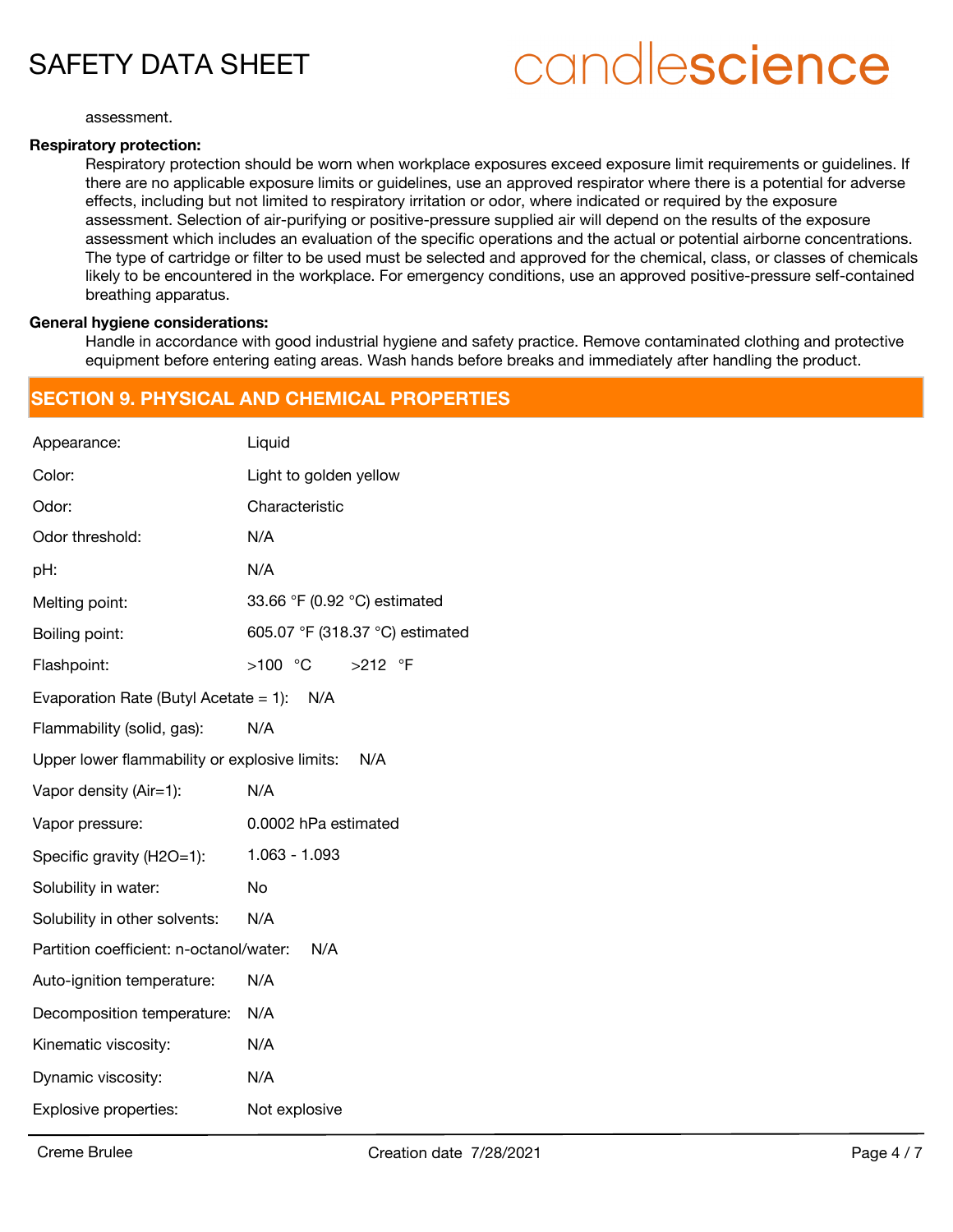# candlescience

assessment.

#### **Respiratory protection:**

Respiratory protection should be worn when workplace exposures exceed exposure limit requirements or guidelines. If there are no applicable exposure limits or guidelines, use an approved respirator where there is a potential for adverse effects, including but not limited to respiratory irritation or odor, where indicated or required by the exposure assessment. Selection of air-purifying or positive-pressure supplied air will depend on the results of the exposure assessment which includes an evaluation of the specific operations and the actual or potential airborne concentrations. The type of cartridge or filter to be used must be selected and approved for the chemical, class, or classes of chemicals likely to be encountered in the workplace. For emergency conditions, use an approved positive-pressure self-contained breathing apparatus.

#### **General hygiene considerations:**

Handle in accordance with good industrial hygiene and safety practice. Remove contaminated clothing and protective equipment before entering eating areas. Wash hands before breaks and immediately after handling the product.

### **SECTION 9. PHYSICAL AND CHEMICAL PROPERTIES**

| Appearance:                                          | Liquid                          |  |
|------------------------------------------------------|---------------------------------|--|
| Color:                                               | Light to golden yellow          |  |
| Odor:                                                | Characteristic                  |  |
| Odor threshold:                                      | N/A                             |  |
| pH:                                                  | N/A                             |  |
| Melting point:                                       | 33.66 °F (0.92 °C) estimated    |  |
| Boiling point:                                       | 605.07 °F (318.37 °C) estimated |  |
| Flashpoint:                                          | $>100$ °C<br>$>212$ °F          |  |
| Evaporation Rate (Butyl Acetate = 1):<br>N/A         |                                 |  |
| Flammability (solid, gas):                           | N/A                             |  |
| Upper lower flammability or explosive limits:<br>N/A |                                 |  |
| Vapor density (Air=1):                               | N/A                             |  |
| Vapor pressure:                                      | 0.0002 hPa estimated            |  |
| Specific gravity (H2O=1):                            | 1.063 - 1.093                   |  |
| Solubility in water:                                 | <b>No</b>                       |  |
| Solubility in other solvents:                        | N/A                             |  |
| Partition coefficient: n-octanol/water:<br>N/A       |                                 |  |
| Auto-ignition temperature:                           | N/A                             |  |
| Decomposition temperature:                           | N/A                             |  |
| Kinematic viscosity:                                 | N/A                             |  |
| Dynamic viscosity:                                   | N/A                             |  |
| Explosive properties:                                | Not explosive                   |  |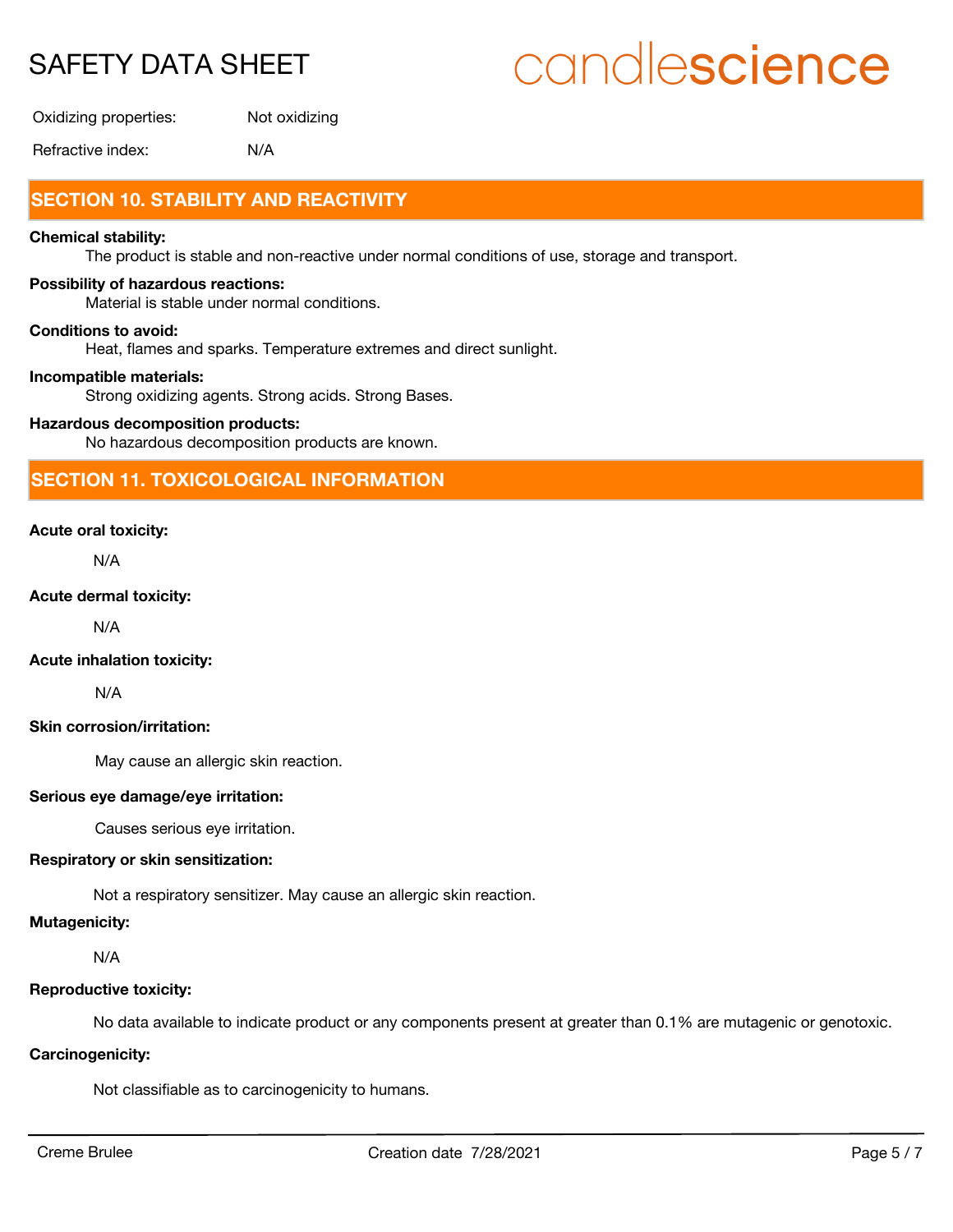# candlescience

Oxidizing properties: Not oxidizing

Refractive index: N/A

# **SECTION 10. STABILITY AND REACTIVITY**

#### **Chemical stability:**

The product is stable and non-reactive under normal conditions of use, storage and transport.

#### **Possibility of hazardous reactions:**

Material is stable under normal conditions.

#### **Conditions to avoid:**

Heat, flames and sparks. Temperature extremes and direct sunlight.

#### **Incompatible materials:**

Strong oxidizing agents. Strong acids. Strong Bases.

#### **Hazardous decomposition products:**

No hazardous decomposition products are known.

## **SECTION 11. TOXICOLOGICAL INFORMATION**

#### **Acute oral toxicity:**

N/A

#### **Acute dermal toxicity:**

N/A

#### **Acute inhalation toxicity:**

N/A

#### **Skin corrosion/irritation:**

May cause an allergic skin reaction.

#### **Serious eye damage/eye irritation:**

Causes serious eye irritation.

#### **Respiratory or skin sensitization:**

Not a respiratory sensitizer. May cause an allergic skin reaction.

#### **Mutagenicity:**

N/A

#### **Reproductive toxicity:**

No data available to indicate product or any components present at greater than 0.1% are mutagenic or genotoxic.

#### **Carcinogenicity:**

Not classifiable as to carcinogenicity to humans.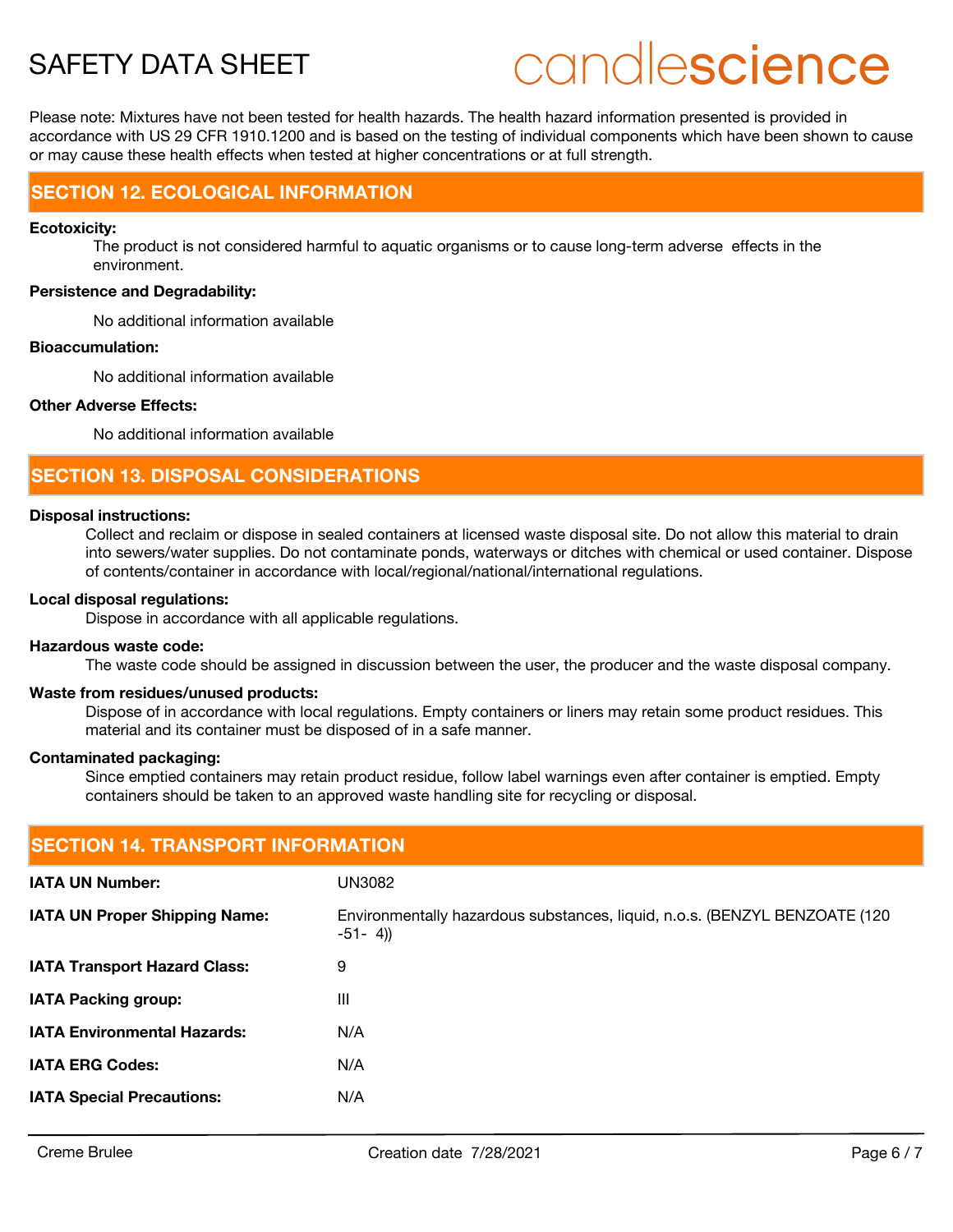# candlescience

Please note: Mixtures have not been tested for health hazards. The health hazard information presented is provided in accordance with US 29 CFR 1910.1200 and is based on the testing of individual components which have been shown to cause or may cause these health effects when tested at higher concentrations or at full strength.

# **SECTION 12. ECOLOGICAL INFORMATION**

#### **Ecotoxicity:**

The product is not considered harmful to aquatic organisms or to cause long-term adverse effects in the environment.

#### **Persistence and Degradability:**

No additional information available

#### **Bioaccumulation:**

No additional information available

#### **Other Adverse Effects:**

No additional information available

## **SECTION 13. DISPOSAL CONSIDERATIONS**

#### **Disposal instructions:**

Collect and reclaim or dispose in sealed containers at licensed waste disposal site. Do not allow this material to drain into sewers/water supplies. Do not contaminate ponds, waterways or ditches with chemical or used container. Dispose of contents/container in accordance with local/regional/national/international regulations.

#### **Local disposal regulations:**

Dispose in accordance with all applicable regulations.

#### **Hazardous waste code:**

The waste code should be assigned in discussion between the user, the producer and the waste disposal company.

#### **Waste from residues/unused products:**

Dispose of in accordance with local regulations. Empty containers or liners may retain some product residues. This material and its container must be disposed of in a safe manner.

#### **Contaminated packaging:**

Since emptied containers may retain product residue, follow label warnings even after container is emptied. Empty containers should be taken to an approved waste handling site for recycling or disposal.

| <b>SECTION 14. TRANSPORT INFORMATION</b> |                                                                                           |  |
|------------------------------------------|-------------------------------------------------------------------------------------------|--|
| <b>IATA UN Number:</b>                   | UN3082                                                                                    |  |
| <b>IATA UN Proper Shipping Name:</b>     | Environmentally hazardous substances, liquid, n.o.s. (BENZYL BENZOATE (120)<br>$-51 - 4)$ |  |
| <b>IATA Transport Hazard Class:</b>      | 9                                                                                         |  |
| <b>IATA Packing group:</b>               | $\mathbf{III}$                                                                            |  |
| <b>IATA Environmental Hazards:</b>       | N/A                                                                                       |  |
| <b>IATA ERG Codes:</b>                   | N/A                                                                                       |  |
| <b>IATA Special Precautions:</b>         | N/A                                                                                       |  |